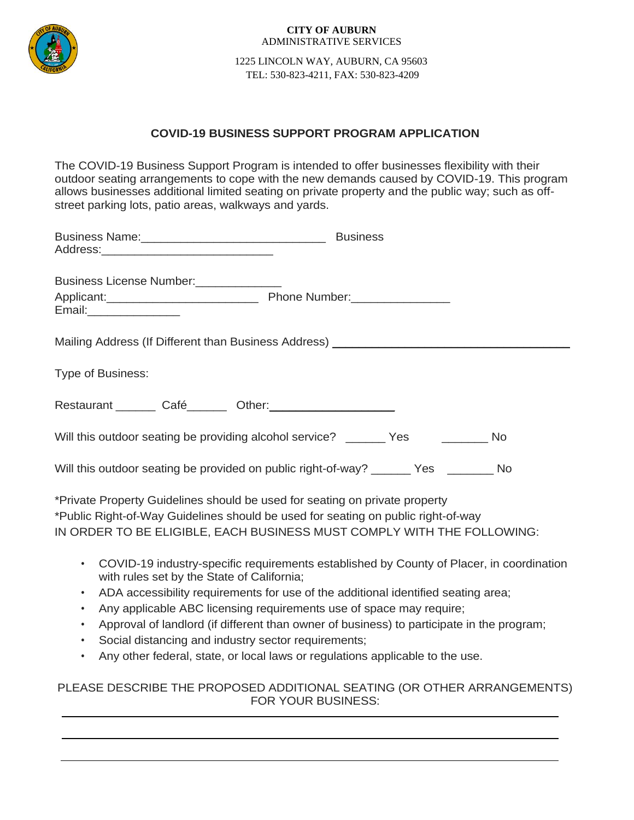

#### **CITY OF AUBURN** ADMINISTRATIVE SERVICES

 1225 LINCOLN WAY, AUBURN, CA 95603 TEL: 530-823-4211, FAX: 530-823-4209

# **COVID-19 BUSINESS SUPPORT PROGRAM APPLICATION**

The COVID-19 Business Support Program is intended to offer businesses flexibility with their outdoor seating arrangements to cope with the new demands caused by COVID-19. This program allows businesses additional limited seating on private property and the public way; such as offstreet parking lots, patio areas, walkways and yards.

| Business Name: Mannell Management Control of Business                                                                                                                                                                                      |                                                                                                                 |
|--------------------------------------------------------------------------------------------------------------------------------------------------------------------------------------------------------------------------------------------|-----------------------------------------------------------------------------------------------------------------|
| Business License Number:<br><u>[</u> [11] Dusiness License Number:<br>Email:___________________                                                                                                                                            |                                                                                                                 |
| Mailing Address (If Different than Business Address) ___________________________                                                                                                                                                           |                                                                                                                 |
| Type of Business:                                                                                                                                                                                                                          |                                                                                                                 |
| Restaurant Café Café Cher:                                                                                                                                                                                                                 |                                                                                                                 |
| Will this outdoor seating be providing alcohol service? _______ Yes ________ No                                                                                                                                                            |                                                                                                                 |
| Will this outdoor seating be provided on public right-of-way? _______ Yes ________ No                                                                                                                                                      |                                                                                                                 |
| *Private Property Guidelines should be used for seating on private property<br>*Public Right-of-Way Guidelines should be used for seating on public right-of-way<br>IN ORDER TO BE ELIGIBLE, EACH BUSINESS MUST COMPLY WITH THE FOLLOWING: |                                                                                                                 |
|                                                                                                                                                                                                                                            | the contract of the contract of the contract of the contract of the contract of the contract of the contract of |

- COVID-19 industry-specific requirements established by County of Placer, in coordination with rules set by the State of California;
- ADA accessibility requirements for use of the additional identified seating area;
- Any applicable ABC licensing requirements use of space may require;
- Approval of landlord (if different than owner of business) to participate in the program;
- Social distancing and industry sector requirements;
- Any other federal, state, or local laws or regulations applicable to the use.

# PLEASE DESCRIBE THE PROPOSED ADDITIONAL SEATING (OR OTHER ARRANGEMENTS) FOR YOUR BUSINESS: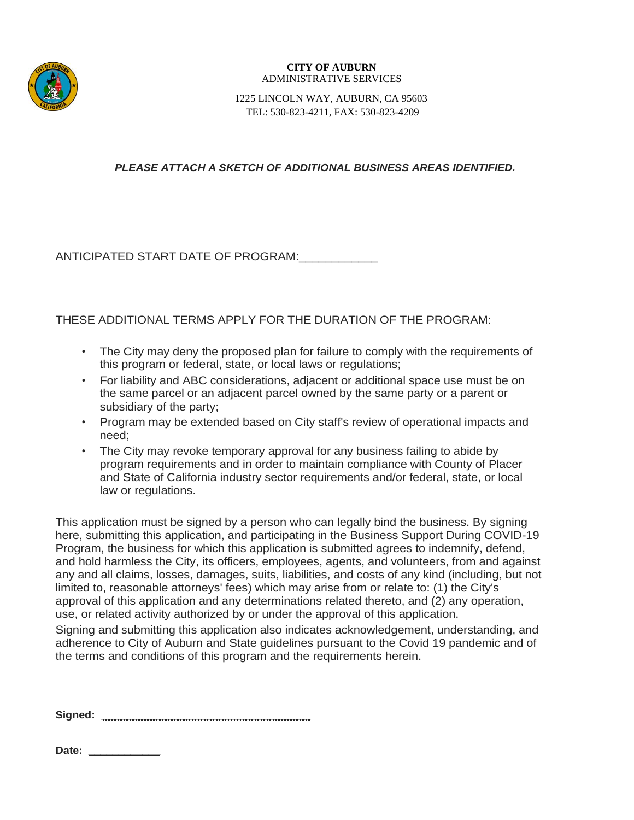

### **CITY OF AUBURN** ADMINISTRATIVE SERVICES

 1225 LINCOLN WAY, AUBURN, CA 95603 TEL: 530-823-4211, FAX: 530-823-4209

## *PLEASE ATTACH A SKETCH OF ADDITIONAL BUSINESS AREAS IDENTIFIED.*

ANTICIPATED START DATE OF PROGRAM:\_\_\_\_\_\_\_\_\_\_\_\_

THESE ADDITIONAL TERMS APPLY FOR THE DURATION OF THE PROGRAM:

- The City may deny the proposed plan for failure to comply with the requirements of this program or federal, state, or local laws or regulations;
- For liability and ABC considerations, adjacent or additional space use must be on the same parcel or an adjacent parcel owned by the same party or a parent or subsidiary of the party;
- Program may be extended based on City staff's review of operational impacts and need;
- The City may revoke temporary approval for any business failing to abide by program requirements and in order to maintain compliance with County of Placer and State of California industry sector requirements and/or federal, state, or local law or regulations.

This application must be signed by a person who can legally bind the business. By signing here, submitting this application, and participating in the Business Support During COVID-19 Program, the business for which this application is submitted agrees to indemnify, defend, and hold harmless the City, its officers, employees, agents, and volunteers, from and against any and all claims, losses, damages, suits, liabilities, and costs of any kind (including, but not limited to, reasonable attorneys' fees) which may arise from or relate to: (1) the City's approval of this application and any determinations related thereto, and (2) any operation, use, or related activity authorized by or under the approval of this application.

Signing and submitting this application also indicates acknowledgement, understanding, and adherence to City of Auburn and State guidelines pursuant to the Covid 19 pandemic and of the terms and conditions of this program and the requirements herein.

**Signed: \_\_\_\_\_\_\_\_\_\_\_\_\_\_\_\_\_\_\_\_\_\_\_\_\_\_\_\_\_\_\_\_\_\_\_** 

Date: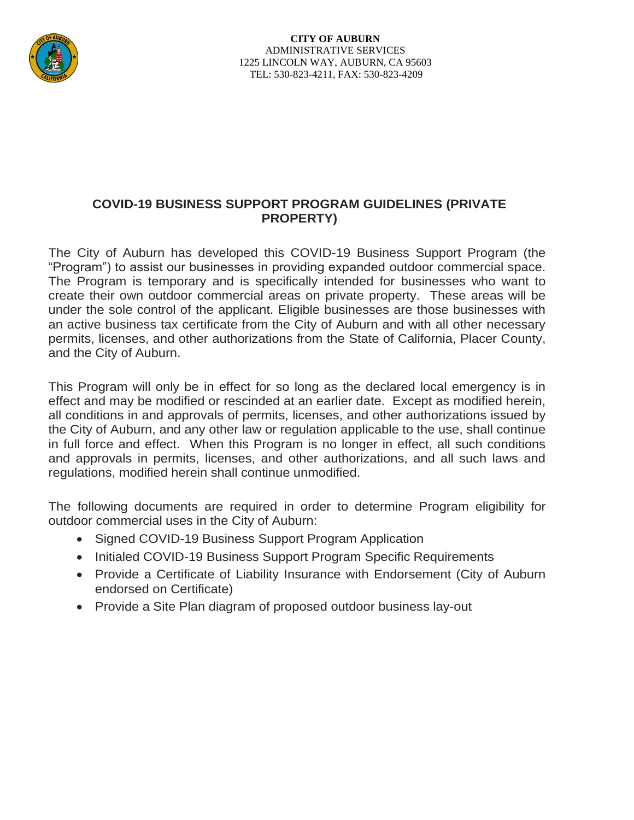

# **COVID-19 BUSINESS SUPPORT PROGRAM GUIDELINES (PRIVATE PROPERTY)**

The City of Auburn has developed this COVID-19 Business Support Program (the "Program") to assist our businesses in providing expanded outdoor commercial space. The Program is temporary and is specifically intended for businesses who want to create their own outdoor commercial areas on private property. These areas will be under the sole control of the applicant. Eligible businesses are those businesses with an active business tax certificate from the City of Auburn and with all other necessary permits, licenses, and other authorizations from the State of California, Placer County, and the City of Auburn.

This Program will only be in effect for so long as the declared local emergency is in effect and may be modified or rescinded at an earlier date. Except as modified herein, all conditions in and approvals of permits, licenses, and other authorizations issued by the City of Auburn, and any other law or regulation applicable to the use, shall continue in full force and effect. When this Program is no longer in effect, all such conditions and approvals in permits, licenses, and other authorizations, and all such laws and regulations, modified herein shall continue unmodified.

The following documents are required in order to determine Program eligibility for outdoor commercial uses in the City of Auburn:

- Signed COVID-19 Business Support Program Application
- Initialed COVID-19 Business Support Program Specific Requirements
- Provide a Certificate of Liability Insurance with Endorsement (City of Auburn endorsed on Certificate)
- Provide a Site Plan diagram of proposed outdoor business lay-out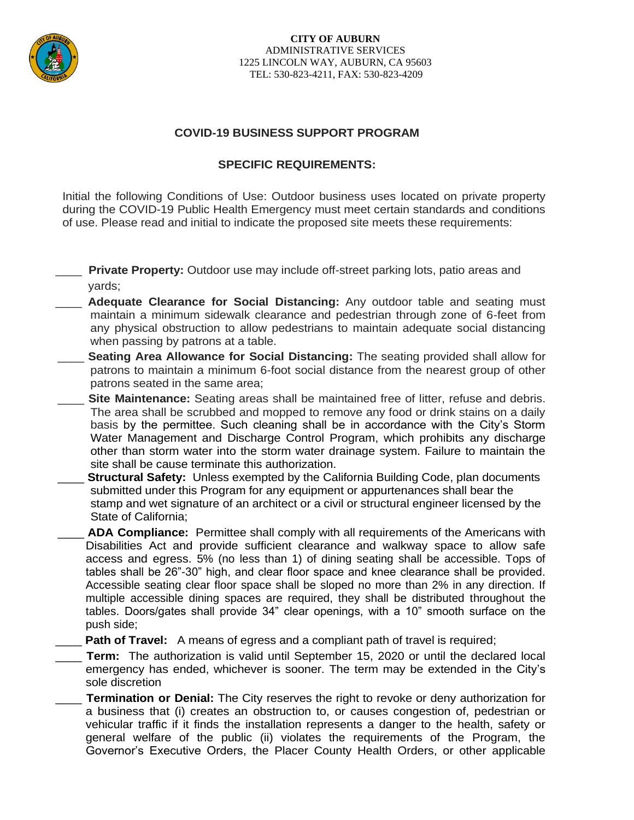

# **COVID-19 BUSINESS SUPPORT PROGRAM**

## **SPECIFIC REQUIREMENTS:**

Initial the following Conditions of Use: Outdoor business uses located on private property during the COVID-19 Public Health Emergency must meet certain standards and conditions of use. Please read and initial to indicate the proposed site meets these requirements:

**Private Property:** Outdoor use may include off-street parking lots, patio areas and yards;

- Adequate Clearance for Social Distancing: Any outdoor table and seating must maintain a minimum sidewalk clearance and pedestrian through zone of 6-feet from any physical obstruction to allow pedestrians to maintain adequate social distancing when passing by patrons at a table.
- **Seating Area Allowance for Social Distancing:** The seating provided shall allow for patrons to maintain a minimum 6-foot social distance from the nearest group of other patrons seated in the same area;
- **Site Maintenance:** Seating areas shall be maintained free of litter, refuse and debris. The area shall be scrubbed and mopped to remove any food or drink stains on a daily basis by the permittee. Such cleaning shall be in accordance with the City's Storm Water Management and Discharge Control Program, which prohibits any discharge other than storm water into the storm water drainage system. Failure to maintain the site shall be cause terminate this authorization.
- **Structural Safety:** Unless exempted by the California Building Code, plan documents submitted under this Program for any equipment or appurtenances shall bear the stamp and wet signature of an architect or a civil or structural engineer licensed by the State of California;
- \_\_\_\_ **ADA Compliance:** Permittee shall comply with all requirements of the Americans with Disabilities Act and provide sufficient clearance and walkway space to allow safe access and egress. 5% (no less than 1) of dining seating shall be accessible. Tops of tables shall be 26"-30" high, and clear floor space and knee clearance shall be provided. Accessible seating clear floor space shall be sloped no more than 2% in any direction. If multiple accessible dining spaces are required, they shall be distributed throughout the tables. Doors/gates shall provide 34" clear openings, with a 10" smooth surface on the push side;
- **Path of Travel:** A means of egress and a compliant path of travel is required;
- \_\_\_\_ **Term:** The authorization is valid until September 15, 2020 or until the declared local emergency has ended, whichever is sooner. The term may be extended in the City's sole discretion
- Termination or Denial: The City reserves the right to revoke or deny authorization for a business that (i) creates an obstruction to, or causes congestion of, pedestrian or vehicular traffic if it finds the installation represents a danger to the health, safety or general welfare of the public (ii) violates the requirements of the Program, the Governor's Executive Orders, the Placer County Health Orders, or other applicable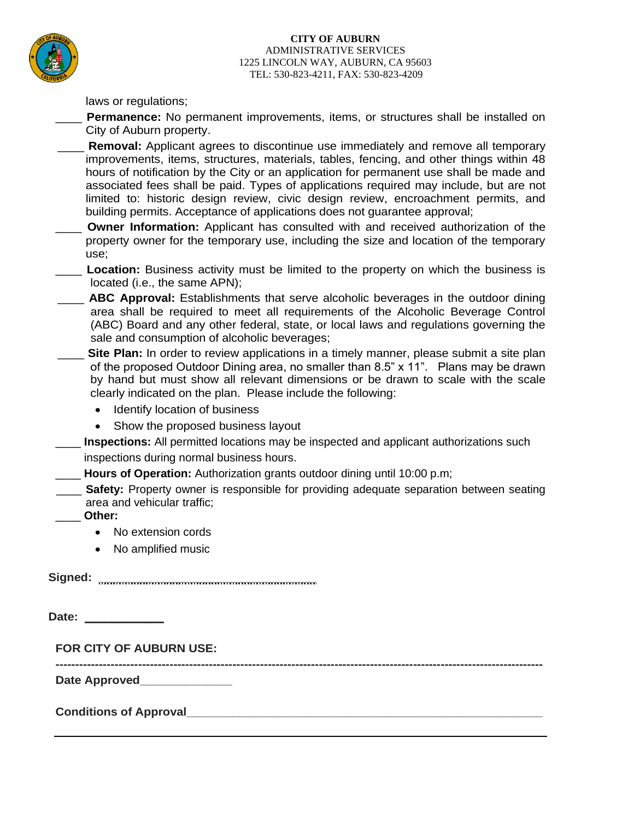

### **CITY OF AUBURN** ADMINISTRATIVE SERVICES 1225 LINCOLN WAY, AUBURN, CA 95603 TEL: 530-823-4211, FAX: 530-823-4209

laws or regulations;

- Permanence: No permanent improvements, items, or structures shall be installed on City of Auburn property.
- **Removal:** Applicant agrees to discontinue use immediately and remove all temporary improvements, items, structures, materials, tables, fencing, and other things within 48 hours of notification by the City or an application for permanent use shall be made and associated fees shall be paid. Types of applications required may include, but are not limited to: historic design review, civic design review, encroachment permits, and building permits. Acceptance of applications does not guarantee approval;
- **Owner Information:** Applicant has consulted with and received authorization of the property owner for the temporary use, including the size and location of the temporary use;
- **Location:** Business activity must be limited to the property on which the business is located (i.e., the same APN);
- **ABC Approval:** Establishments that serve alcoholic beverages in the outdoor dining area shall be required to meet all requirements of the Alcoholic Beverage Control (ABC) Board and any other federal, state, or local laws and regulations governing the sale and consumption of alcoholic beverages;
- Site Plan: In order to review applications in a timely manner, please submit a site plan of the proposed Outdoor Dining area, no smaller than 8.5" x 11". Plans may be drawn by hand but must show all relevant dimensions or be drawn to scale with the scale clearly indicated on the plan. Please include the following:
	- Identify location of business
	- Show the proposed business layout
- **Inspections:** All permitted locations may be inspected and applicant authorizations such inspections during normal business hours.
	- Hours of Operation: Authorization grants outdoor dining until 10:00 p.m;
- **Safety:** Property owner is responsible for providing adequate separation between seating area and vehicular traffic;

**----------------------------------------------------------------------------------------------------------------------------** 

- \_\_\_\_ **Other:**
	- No extension cords
	- No amplified music

**Signed: \_\_\_\_\_\_\_\_\_\_\_\_\_\_\_\_\_\_\_\_\_\_\_\_\_\_\_\_\_\_\_\_\_**

**Date: \_\_\_\_\_\_\_\_\_\_\_\_**

**FOR CITY OF AUBURN USE:** 

**Date Approved\_\_\_\_\_\_\_\_\_\_\_\_\_\_** 

**Conditions of Approval\_\_\_\_\_\_\_\_\_\_\_\_\_\_\_\_\_\_\_\_\_\_\_\_\_\_\_\_\_\_\_\_\_\_\_\_\_\_\_\_\_\_\_\_\_\_\_\_\_\_\_\_\_\_**